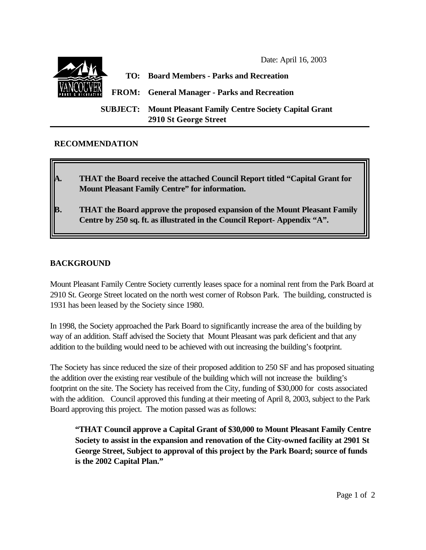Date: April 16, 2003



## **RECOMMENDATION**

- **A. THAT the Board receive the attached Council Report titled "Capital Grant for Mount Pleasant Family Centre" for information.**
- **B. THAT the Board approve the proposed expansion of the Mount Pleasant Family Centre by 250 sq. ft. as illustrated in the Council Report- Appendix "A".**

## **BACKGROUND**

Mount Pleasant Family Centre Society currently leases space for a nominal rent from the Park Board at 2910 St. George Street located on the north west corner of Robson Park. The building, constructed is 1931 has been leased by the Society since 1980.

In 1998, the Society approached the Park Board to significantly increase the area of the building by way of an addition. Staff advised the Society that Mount Pleasant was park deficient and that any addition to the building would need to be achieved with out increasing the building's footprint.

The Society has since reduced the size of their proposed addition to 250 SF and has proposed situating the addition over the existing rear vestibule of the building which will not increase the building's footprint on the site. The Society has received from the City, funding of \$30,000 for costs associated with the addition. Council approved this funding at their meeting of April 8, 2003, subject to the Park Board approving this project. The motion passed was as follows:

**"THAT Council approve a Capital Grant of \$30,000 to Mount Pleasant Family Centre Society to assist in the expansion and renovation of the City-owned facility at 2901 St George Street, Subject to approval of this project by the Park Board; source of funds is the 2002 Capital Plan."**